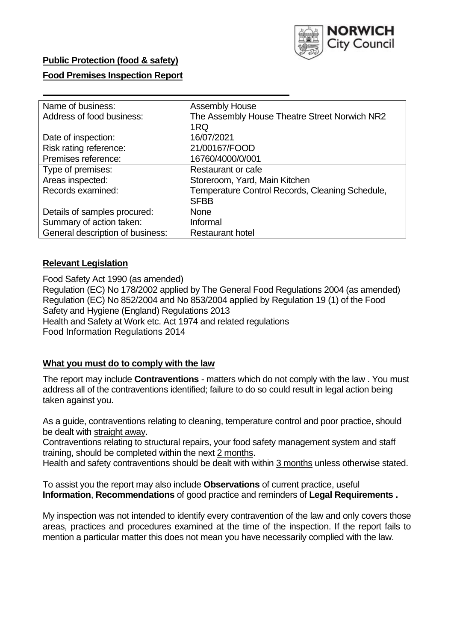

## **Public Protection (food & safety)**

### **Food Premises Inspection Report**

| Name of business:                | <b>Assembly House</b>                           |  |  |  |
|----------------------------------|-------------------------------------------------|--|--|--|
| Address of food business:        | The Assembly House Theatre Street Norwich NR2   |  |  |  |
|                                  | 1RQ                                             |  |  |  |
| Date of inspection:              | 16/07/2021                                      |  |  |  |
| Risk rating reference:           | 21/00167/FOOD                                   |  |  |  |
| Premises reference:              | 16760/4000/0/001                                |  |  |  |
| Type of premises:                | Restaurant or cafe                              |  |  |  |
| Areas inspected:                 | Storeroom, Yard, Main Kitchen                   |  |  |  |
| Records examined:                | Temperature Control Records, Cleaning Schedule, |  |  |  |
|                                  | <b>SFBB</b>                                     |  |  |  |
| Details of samples procured:     | None                                            |  |  |  |
| Summary of action taken:         | Informal                                        |  |  |  |
| General description of business: | <b>Restaurant hotel</b>                         |  |  |  |
|                                  |                                                 |  |  |  |

### **Relevant Legislation**

 Food Safety Act 1990 (as amended) Regulation (EC) No 178/2002 applied by The General Food Regulations 2004 (as amended) Regulation (EC) No 852/2004 and No 853/2004 applied by Regulation 19 (1) of the Food Safety and Hygiene (England) Regulations 2013 Health and Safety at Work etc. Act 1974 and related regulations Food Information Regulations 2014

## **What you must do to comply with the law**

 The report may include **Contraventions** - matters which do not comply with the law . You must address all of the contraventions identified; failure to do so could result in legal action being taken against you.

 As a guide, contraventions relating to cleaning, temperature control and poor practice, should be dealt with straight away.

 Contraventions relating to structural repairs, your food safety management system and staff training, should be completed within the next 2 months.

Health and safety contraventions should be dealt with within 3 months unless otherwise stated.

 To assist you the report may also include **Observations** of current practice, useful **Information**, **Recommendations** of good practice and reminders of **Legal Requirements .** 

 My inspection was not intended to identify every contravention of the law and only covers those areas, practices and procedures examined at the time of the inspection. If the report fails to mention a particular matter this does not mean you have necessarily complied with the law.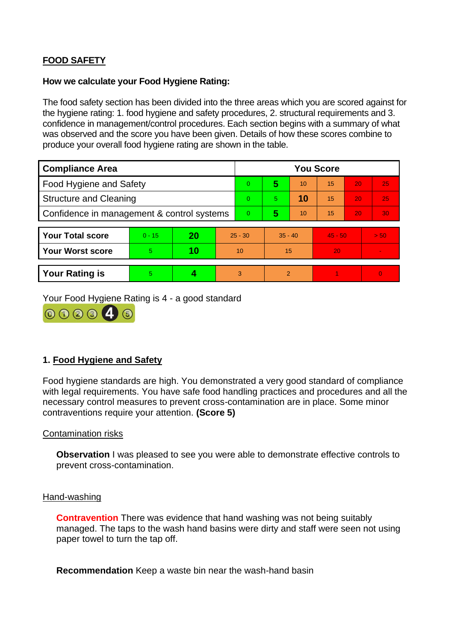# **FOOD SAFETY**

### **How we calculate your Food Hygiene Rating:**

 The food safety section has been divided into the three areas which you are scored against for the hygiene rating: 1. food hygiene and safety procedures, 2. structural requirements and 3. confidence in management/control procedures. Each section begins with a summary of what was observed and the score you have been given. Details of how these scores combine to produce your overall food hygiene rating are shown in the table.

| <b>Compliance Area</b>                     |          |    |                | <b>You Score</b> |                |    |           |    |                |  |  |
|--------------------------------------------|----------|----|----------------|------------------|----------------|----|-----------|----|----------------|--|--|
| Food Hygiene and Safety                    |          |    |                | $\Omega$         | 5              | 10 | 15        | 20 | 25             |  |  |
| <b>Structure and Cleaning</b>              |          |    | $\Omega$       | $\overline{5}$   | 10             | 15 | 20        | 25 |                |  |  |
| Confidence in management & control systems |          |    | $\overline{0}$ | 5                | 10             | 15 | 20        | 30 |                |  |  |
|                                            |          |    |                |                  |                |    |           |    |                |  |  |
| <b>Your Total score</b>                    | $0 - 15$ | 20 | $25 - 30$      |                  | $35 - 40$      |    | $45 - 50$ |    | > 50           |  |  |
| <b>Your Worst score</b>                    | 5        | 10 | 10             |                  | 15             |    | 20        |    | $\blacksquare$ |  |  |
|                                            |          |    |                |                  |                |    |           |    |                |  |  |
| <b>Your Rating is</b>                      | 5        |    |                | 3                | $\overline{2}$ |    |           |    | $\Omega$       |  |  |

Your Food Hygiene Rating is 4 - a good standard



## **1. Food Hygiene and Safety**

 with legal requirements. You have safe food handling practices and procedures and all the Food hygiene standards are high. You demonstrated a very good standard of compliance necessary control measures to prevent cross-contamination are in place. Some minor contraventions require your attention. **(Score 5)** 

## Contamination risks

**Observation** I was pleased to see you were able to demonstrate effective controls to prevent cross-contamination.

### Hand-washing

 managed. The taps to the wash hand basins were dirty and staff were seen not using paper towel to turn the tap off. **Contravention** There was evidence that hand washing was not being suitably

**Recommendation** Keep a waste bin near the wash-hand basin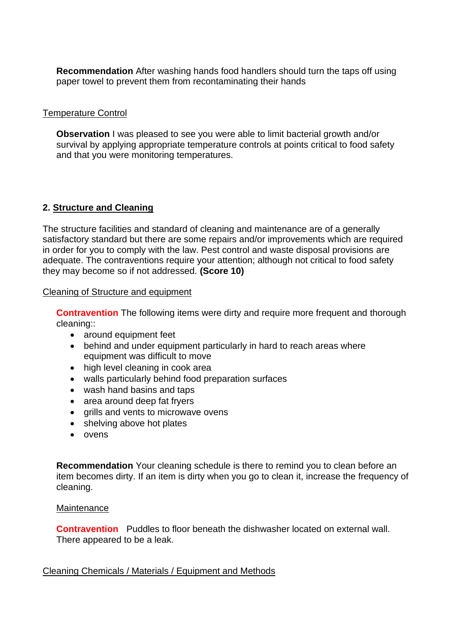**Recommendation** After washing hands food handlers should turn the taps off using paper towel to prevent them from recontaminating their hands

## Temperature Control

**Observation** I was pleased to see you were able to limit bacterial growth and/or survival by applying appropriate temperature controls at points critical to food safety and that you were monitoring temperatures.

## **2. Structure and Cleaning**

The structure facilities and standard of cleaning and maintenance are of a generally satisfactory standard but there are some repairs and/or improvements which are required in order for you to comply with the law. Pest control and waste disposal provisions are adequate. The contraventions require your attention; although not critical to food safety they may become so if not addressed. **(Score 10)** 

## Cleaning of Structure and equipment

**Contravention** The following items were dirty and require more frequent and thorough cleaning::

- around equipment feet
- behind and under equipment particularly in hard to reach areas where equipment was difficult to move
- high level cleaning in cook area
- walls particularly behind food preparation surfaces
- wash hand basins and taps
- area around deep fat fryers
- grills and vents to microwave ovens
- shelving above hot plates
- ovens

 **Recommendation** Your cleaning schedule is there to remind you to clean before an item becomes dirty. If an item is dirty when you go to clean it, increase the frequency of cleaning.

### Maintenance

 **Contravention** Puddles to floor beneath the dishwasher located on external wall. There appeared to be a leak.

## Cleaning Chemicals / Materials / Equipment and Methods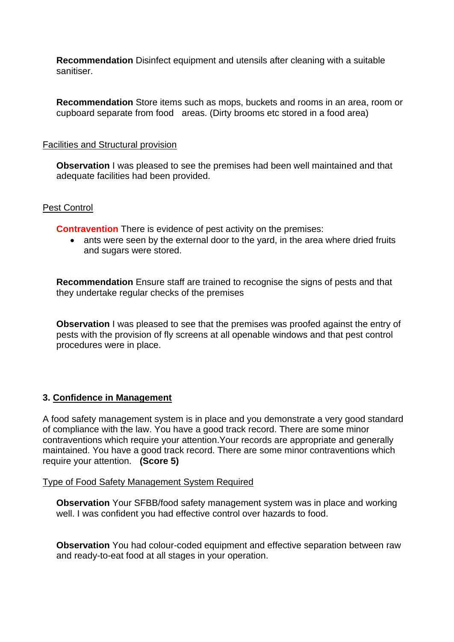**Recommendation** Disinfect equipment and utensils after cleaning with a suitable sanitiser.

 cupboard separate from food areas. (Dirty brooms etc stored in a food area) **Recommendation** Store items such as mops, buckets and rooms in an area, room or

### Facilities and Structural provision

 **Observation** I was pleased to see the premises had been well maintained and that adequate facilities had been provided.

### Pest Control

**Contravention** There is evidence of pest activity on the premises:

• ants were seen by the external door to the yard, in the area where dried fruits and sugars were stored.

**Recommendation** Ensure staff are trained to recognise the signs of pests and that they undertake regular checks of the premises

**Observation** I was pleased to see that the premises was proofed against the entry of pests with the provision of fly screens at all openable windows and that pest control procedures were in place.

## **3. Confidence in Management**

 maintained. You have a good track record. There are some minor contraventions which A food safety management system is in place and you demonstrate a very good standard of compliance with the law. You have a good track record. There are some minor contraventions which require your attention.Your records are appropriate and generally require your attention. **(Score 5)** 

### Type of Food Safety Management System Required

**Observation** Your SFBB/food safety management system was in place and working well. I was confident you had effective control over hazards to food.

**Observation** You had colour-coded equipment and effective separation between raw and ready-to-eat food at all stages in your operation.